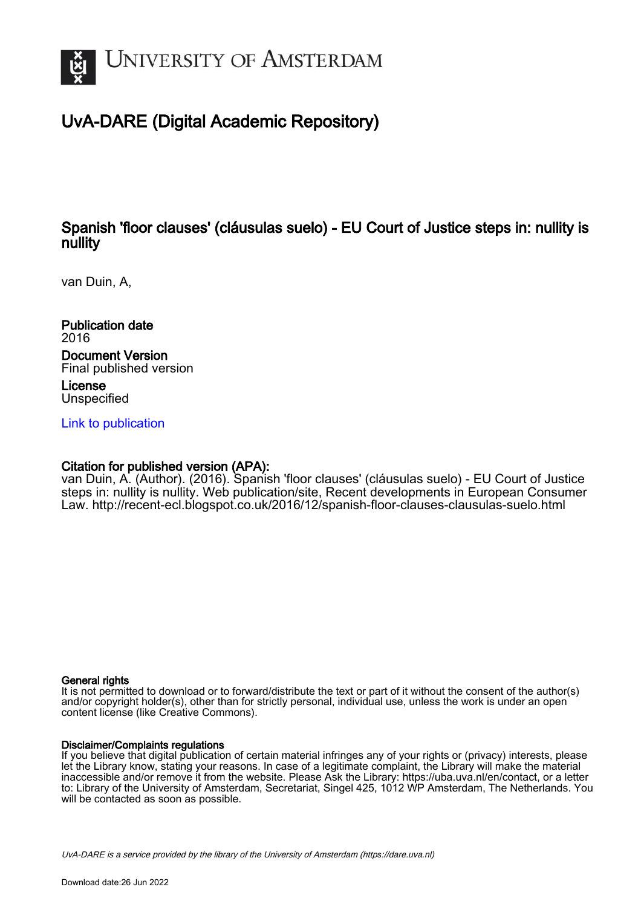

# UvA-DARE (Digital Academic Repository)

# Spanish 'floor clauses' (cláusulas suelo) - EU Court of Justice steps in: nullity is nullity

van Duin, A,

Publication date 2016 Document Version Final published version License

Unspecified

[Link to publication](https://dare.uva.nl/personal/pure/en/publications/spanish-floor-clauses-clusulas-suelo--eu-court-of-justice-steps-in-nullity-is-nullity(6a9ff493-da7f-4bce-9f8d-376c93598fd7).html)

## Citation for published version (APA):

van Duin, A. (Author). (2016). Spanish 'floor clauses' (cláusulas suelo) - EU Court of Justice steps in: nullity is nullity. Web publication/site, Recent developments in European Consumer Law. <http://recent-ecl.blogspot.co.uk/2016/12/spanish-floor-clauses-clausulas-suelo.html>

#### General rights

It is not permitted to download or to forward/distribute the text or part of it without the consent of the author(s) and/or copyright holder(s), other than for strictly personal, individual use, unless the work is under an open content license (like Creative Commons).

#### Disclaimer/Complaints regulations

If you believe that digital publication of certain material infringes any of your rights or (privacy) interests, please let the Library know, stating your reasons. In case of a legitimate complaint, the Library will make the material inaccessible and/or remove it from the website. Please Ask the Library: https://uba.uva.nl/en/contact, or a letter to: Library of the University of Amsterdam, Secretariat, Singel 425, 1012 WP Amsterdam, The Netherlands. You will be contacted as soon as possible.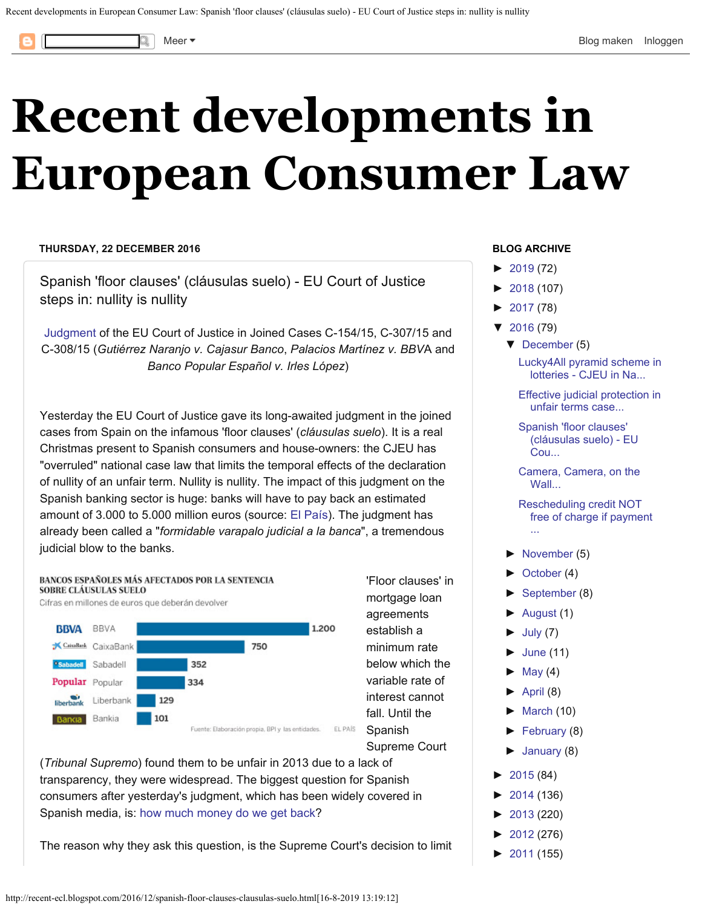<span id="page-1-0"></span>

# **[Recent developments in](http://recent-ecl.blogspot.com/) [European Consumer Law](http://recent-ecl.blogspot.com/)**

#### **THURSDAY, 22 DECEMBER 2016**

Spanish 'floor clauses' (cláusulas suelo) - EU Court of Justice steps in: nullity is nullity

[Judgment](http://curia.europa.eu/juris/document/document.jsf?text=&docid=186483&pageIndex=0&doclang=EN&mode=lst&dir=&occ=first&part=1&cid=794299) of the EU Court of Justice in Joined Cases C-154/15, C-307/15 and C-308/15 (*Gutiérrez Naranjo v. Cajasur Banco*, *Palacios Martínez v. BBV*A and *Banco Popular Español v. Irles López*)

Yesterday the EU Court of Justice gave its long-awaited judgment in the joined cases from Spain on the infamous 'floor clauses' (*cláusulas suelo*). It is a real Christmas present to Spanish consumers and house-owners: the CJEU has "overruled" national case law that limits the temporal effects of the declaration of nullity of an unfair term. Nullity is nullity. The impact of this judgment on the Spanish banking sector is huge: banks will have to pay back an estimated amount of 3.000 to 5.000 million euros (source: [El País](http://economia.elpais.com/economia/2016/12/21/actualidad/1482306332_458117.html)). The judgment has already been called a "*formidable varapalo judicial a la banca*", a tremendous judicial blow to the banks.



(*Tribunal Supremo*) found them to be unfair in 2013 due to a lack of transparency, they were widespread. The biggest question for Spanish consumers after yesterday's judgment, which has been widely covered in Spanish media, is: [how much money do we get back](http://www.eldiario.es/economia/Clausulas-suelo-reclamar-devolver-cantidad_0_593190983.html)?

The reason why they ask this question, is the Supreme Court's decision to limit

#### **BLOG ARCHIVE**

- $\blacktriangleright$ [2019](http://recent-ecl.blogspot.com/2019/) (72)
- [►](javascript:void(0))[2018](http://recent-ecl.blogspot.com/2018/) (107)
- [►](javascript:void(0))[2017](http://recent-ecl.blogspot.com/2017/) (78)
- [▼](javascript:void(0))[2016](http://recent-ecl.blogspot.com/2016/) (79)
	- [▼](javascript:void(0))[December](http://recent-ecl.blogspot.com/2016/12/) (5)

[Lucky4All pyramid scheme in](http://recent-ecl.blogspot.com/2016/12/lucky4all-pyramid-scheme-in-lotteries.html) [lotteries - CJEU in Na...](http://recent-ecl.blogspot.com/2016/12/lucky4all-pyramid-scheme-in-lotteries.html)

[Effective judicial protection in](http://recent-ecl.blogspot.com/2016/12/effective-judicial-protection-in-unfair.html) [unfair terms case...](http://recent-ecl.blogspot.com/2016/12/effective-judicial-protection-in-unfair.html)

[Spanish 'floor clauses'](#page-1-0) [\(cláusulas suelo\) - EU](#page-1-0) [Cou...](#page-1-0)

[Camera, Camera, on the](http://recent-ecl.blogspot.com/2016/12/camera-camera-on-wall.html) [Wall...](http://recent-ecl.blogspot.com/2016/12/camera-camera-on-wall.html)

[Rescheduling credit NOT](http://recent-ecl.blogspot.com/2016/12/rescheduling-credit-not-free-of-charge.html) [free of charge if payment](http://recent-ecl.blogspot.com/2016/12/rescheduling-credit-not-free-of-charge.html) [...](http://recent-ecl.blogspot.com/2016/12/rescheduling-credit-not-free-of-charge.html)

- [►](javascript:void(0))[November](http://recent-ecl.blogspot.com/2016/11/) (5)
- [►](javascript:void(0))[October](http://recent-ecl.blogspot.com/2016/10/) (4)
- [►](javascript:void(0))[September](http://recent-ecl.blogspot.com/2016/09/) (8)
- [►](javascript:void(0))[August](http://recent-ecl.blogspot.com/2016/08/) (1)
- $\blacktriangleright$ [July](http://recent-ecl.blogspot.com/2016/07/) (7)
- $\blacktriangleright$ [June](http://recent-ecl.blogspot.com/2016/06/) (11)
- $\blacktriangleright$ [May](http://recent-ecl.blogspot.com/2016/05/) (4)
- $\blacktriangleright$ [April](http://recent-ecl.blogspot.com/2016/04/) (8)
- $\blacktriangleright$ [March](http://recent-ecl.blogspot.com/2016/03/) (10)
- [►](javascript:void(0))[February](http://recent-ecl.blogspot.com/2016/02/) (8)
- [►](javascript:void(0))[January](http://recent-ecl.blogspot.com/2016/01/) (8)
- $\blacktriangleright$ [2015](http://recent-ecl.blogspot.com/2015/) (84)
- [►](javascript:void(0))[2014](http://recent-ecl.blogspot.com/2014/) (136)
- [►](javascript:void(0))[2013](http://recent-ecl.blogspot.com/2013/) (220)
- [►](javascript:void(0))[2012](http://recent-ecl.blogspot.com/2012/) (276)
- [►](javascript:void(0))[2011](http://recent-ecl.blogspot.com/2011/) (155)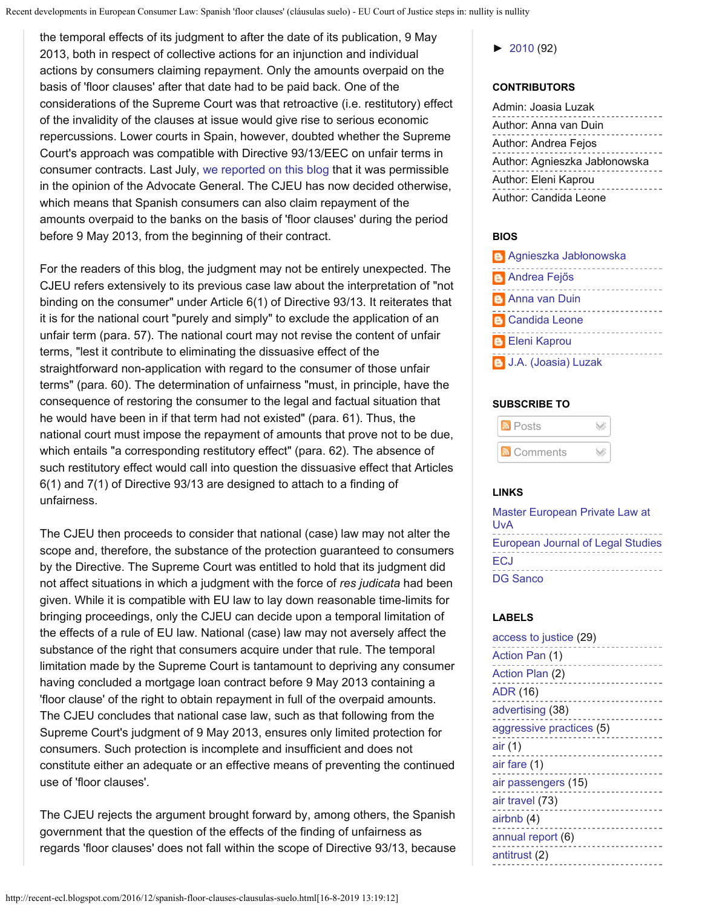Recent developments in European Consumer Law: Spanish 'floor clauses' (cláusulas suelo) - EU Court of Justice steps in: nullity is nullity

the temporal effects of its judgment to after the date of its publication, 9 May 2013, both in respect of collective actions for an injunction and individual actions by consumers claiming repayment. Only the amounts overpaid on the basis of 'floor clauses' after that date had to be paid back. One of the considerations of the Supreme Court was that retroactive (i.e. restitutory) effect of the invalidity of the clauses at issue would give rise to serious economic repercussions. Lower courts in Spain, however, doubted whether the Supreme Court's approach was compatible with Directive 93/13/EEC on unfair terms in consumer contracts. Last July, [we reported on this blog](http://recent-ecl.blogspot.nl/2016/07/a-victory-for-banks-opinion-in-high.html) that it was permissible in the opinion of the Advocate General. The CJEU has now decided otherwise, which means that Spanish consumers can also claim repayment of the amounts overpaid to the banks on the basis of 'floor clauses' during the period before 9 May 2013, from the beginning of their contract.

For the readers of this blog, the judgment may not be entirely unexpected. The CJEU refers extensively to its previous case law about the interpretation of "not binding on the consumer" under Article 6(1) of Directive 93/13. It reiterates that it is for the national court "purely and simply" to exclude the application of an unfair term (para. 57). The national court may not revise the content of unfair terms, "lest it contribute to eliminating the dissuasive effect of the straightforward non-application with regard to the consumer of those unfair terms" (para. 60). The determination of unfairness "must, in principle, have the consequence of restoring the consumer to the legal and factual situation that he would have been in if that term had not existed" (para. 61). Thus, the national court must impose the repayment of amounts that prove not to be due, which entails "a corresponding restitutory effect" (para. 62). The absence of such restitutory effect would call into question the dissuasive effect that Articles 6(1) and 7(1) of Directive 93/13 are designed to attach to a finding of unfairness.

The CJEU then proceeds to consider that national (case) law may not alter the scope and, therefore, the substance of the protection guaranteed to consumers by the Directive. The Supreme Court was entitled to hold that its judgment did not affect situations in which a judgment with the force of *res judicata* had been given. While it is compatible with EU law to lay down reasonable time-limits for bringing proceedings, only the CJEU can decide upon a temporal limitation of the effects of a rule of EU law. National (case) law may not aversely affect the substance of the right that consumers acquire under that rule. The temporal limitation made by the Supreme Court is tantamount to depriving any consumer having concluded a mortgage loan contract before 9 May 2013 containing a 'floor clause' of the right to obtain repayment in full of the overpaid amounts. The CJEU concludes that national case law, such as that following from the Supreme Court's judgment of 9 May 2013, ensures only limited protection for consumers. Such protection is incomplete and insufficient and does not constitute either an adequate or an effective means of preventing the continued use of 'floor clauses'.

The CJEU rejects the argument brought forward by, among others, the Spanish government that the question of the effects of the finding of unfairness as regards 'floor clauses' does not fall within the scope of Directive 93/13, because [►](javascript:void(0))[2010](http://recent-ecl.blogspot.com/2010/) (92)

#### **CONTRIBUTORS**

| Admin: Joasia Luzak           |
|-------------------------------|
| Author: Anna van Duin         |
| Author: Andrea Fejos          |
| Author: Agnieszka Jabłonowska |
| Author: Eleni Kaprou          |
| Author: Candida Leone         |

#### **BIOS**

| <b>Agnieszka Jabłonowska</b> |
|------------------------------|
| <b>B</b> Andrea Fejős        |
| <b>B</b> Anna van Duin       |
| <b>B</b> Candida Leone       |
| <b>B</b> Eleni Kaprou        |
| <b>B</b> J.A. (Joasia) Luzak |

#### **SUBSCRIBE TO**

| <b>M</b> Posts |  |
|----------------|--|
| Comments       |  |

### **LINKS**

| Master European Private Law at    |
|-----------------------------------|
| UvA                               |
| European Journal of Legal Studies |
| ECJ                               |
| DG Sanco                          |

#### **LABELS**

| access to justice (29)   |
|--------------------------|
| Action Pan (1)           |
| Action Plan (2)          |
| <b>ADR (16)</b>          |
| advertising (38)         |
| aggressive practices (5) |
| air (1)                  |
| air fare (1)             |
| air passengers (15)      |
| air travel (73)          |
| airbnb (4)               |
| annual report (6)        |
| antitrust (2)            |
| .                        |